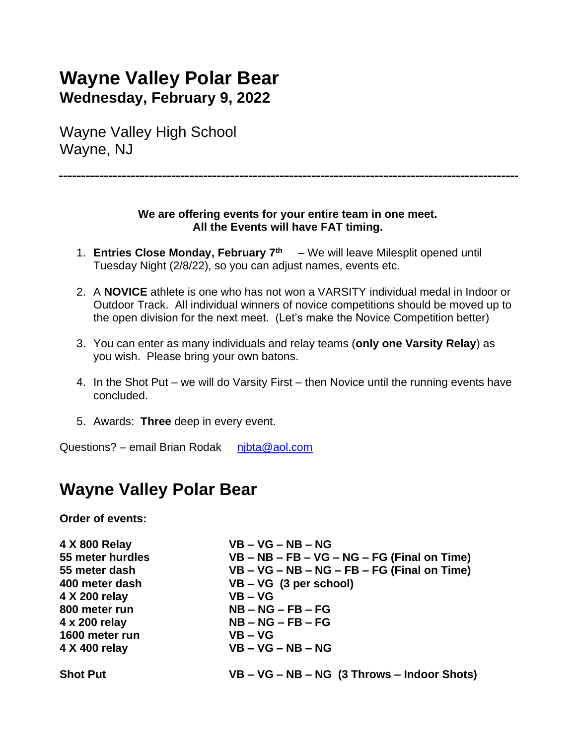## **Wayne Valley Polar Bear Wednesday, February 9, 2022**

Wayne Valley High School Wayne, NJ

#### **We are offering events for your entire team in one meet. All the Events will have FAT timing.**

- 1. **Entries Close Monday, February 7 th** We will leave Milesplit opened until Tuesday Night (2/8/22), so you can adjust names, events etc.
- 2. A **NOVICE** athlete is one who has not won a VARSITY individual medal in Indoor or Outdoor Track. All individual winners of novice competitions should be moved up to the open division for the next meet. (Let's make the Novice Competition better)
- 3. You can enter as many individuals and relay teams (**only one Varsity Relay**) as you wish. Please bring your own batons.
- 4. In the Shot Put we will do Varsity First then Novice until the running events have concluded.
- 5. Awards: **Three** deep in every event.

Questions? – email Brian Rodak nibta@aol.com

### **Wayne Valley Polar Bear**

**Order of events:**

| 4 X 800 Relay    | $VB - VG - NB - NG$                           |
|------------------|-----------------------------------------------|
| 55 meter hurdles | VB – NB – FB – VG – NG – FG (Final on Time)   |
| 55 meter dash    | VB - VG - NB - NG - FB - FG (Final on Time)   |
| 400 meter dash   | $VB - VG$ (3 per school)                      |
| 4 X 200 relay    | $VB - VG$                                     |
| 800 meter run    | $NB - NG - FB - FG$                           |
| 4 x 200 relay    | $NB - NG - FB - FG$                           |
| 1600 meter run   | $VB - VG$                                     |
| 4 X 400 relay    | $VB - VG - NB - NG$                           |
| <b>Shot Put</b>  | $VB - VG - NB - NG$ (3 Throws – Indoor Shots) |